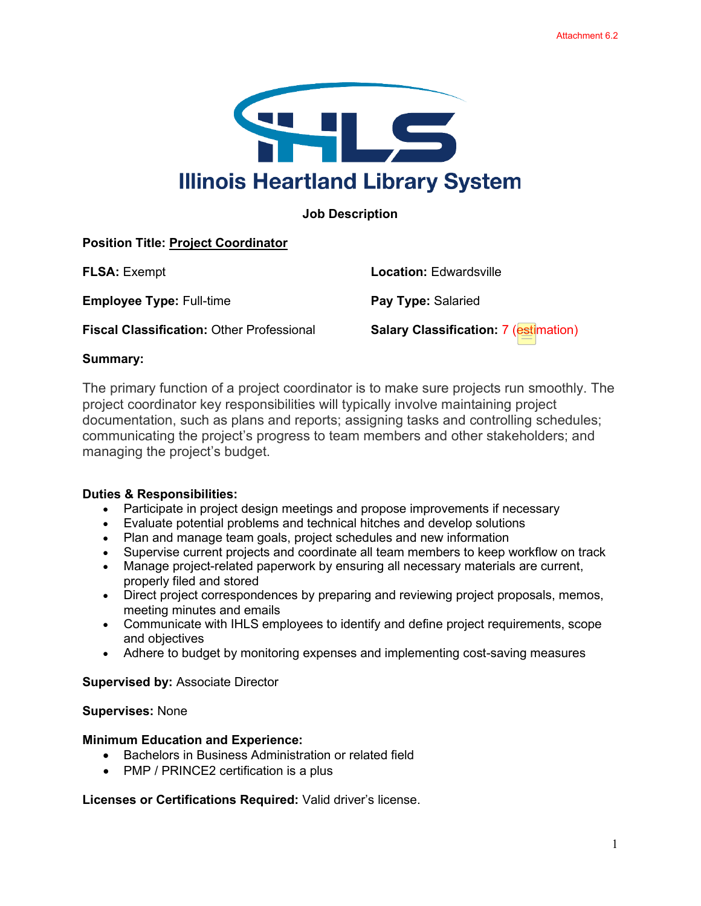

## **Job Description**

# **Position Title: Project Coordinator**

**Employee Type: Full-time <b>Pay Type:** Salaried

**Fiscal Classification:** Other Professional **Salary Classification: 7 (estimation)** 

**FLSA:** Exempt **Location:** Edwardsville

### **Summary:**

The primary function of a project coordinator is to make sure projects run smoothly. The project coordinator key responsibilities will typically involve maintaining project documentation, such as plans and reports; assigning tasks and controlling schedules; communicating the project's progress to team members and other stakeholders; and managing the project's budget.

### **Duties & Responsibilities:**

- Participate in project design meetings and propose improvements if necessary
- Evaluate potential problems and technical hitches and develop solutions
- Plan and manage team goals, project schedules and new information
- Supervise current projects and coordinate all team members to keep workflow on track
- Manage project-related paperwork by ensuring all necessary materials are current, properly filed and stored
- Direct project correspondences by preparing and reviewing project proposals, memos, meeting minutes and emails
- Communicate with IHLS employees to identify and define project requirements, scope and objectives
- Adhere to budget by monitoring expenses and implementing cost-saving measures

#### **Supervised by:** Associate Director

### **Supervises:** None

### **Minimum Education and Experience:**

- Bachelors in Business Administration or related field
- PMP / PRINCE2 certification is a plus

**Licenses or Certifications Required:** Valid driver's license.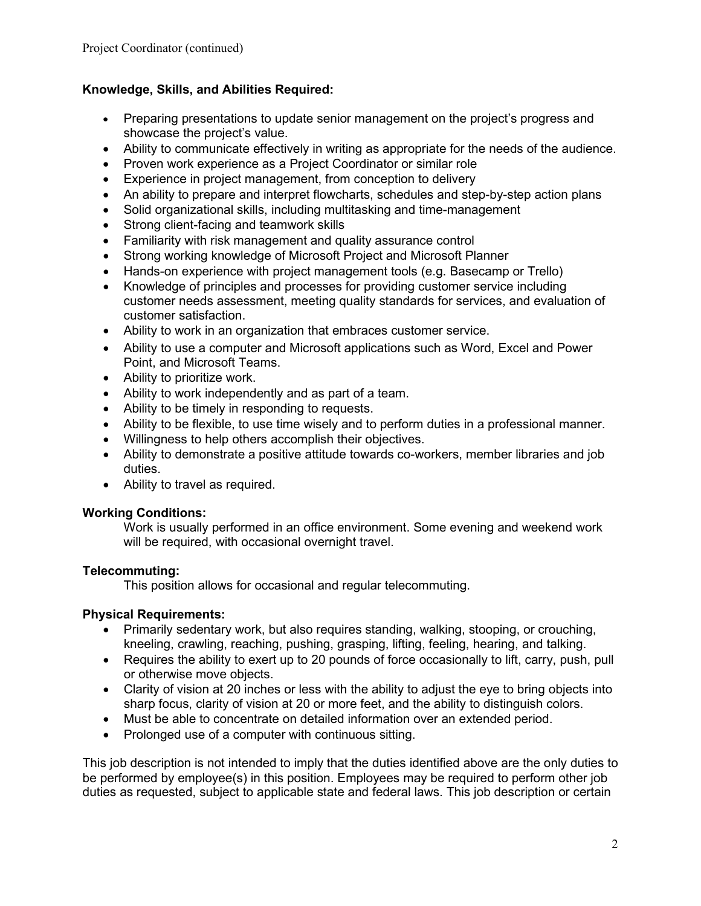# **Knowledge, Skills, and Abilities Required:**

- Preparing presentations to update senior management on the project's progress and showcase the project's value.
- Ability to communicate effectively in writing as appropriate for the needs of the audience.
- Proven work experience as a Project Coordinator or similar role
- Experience in project management, from conception to delivery
- An ability to prepare and interpret flowcharts, schedules and step-by-step action plans
- Solid organizational skills, including multitasking and time-management
- Strong client-facing and teamwork skills
- Familiarity with risk management and quality assurance control
- Strong working knowledge of Microsoft Project and Microsoft Planner
- Hands-on experience with project management tools (e.g. Basecamp or Trello)
- Knowledge of principles and processes for providing customer service including customer needs assessment, meeting quality standards for services, and evaluation of customer satisfaction.
- Ability to work in an organization that embraces customer service.
- Ability to use a computer and Microsoft applications such as Word, Excel and Power Point, and Microsoft Teams.
- Ability to prioritize work.
- Ability to work independently and as part of a team.
- Ability to be timely in responding to requests.
- Ability to be flexible, to use time wisely and to perform duties in a professional manner.
- Willingness to help others accomplish their objectives.
- Ability to demonstrate a positive attitude towards co-workers, member libraries and job duties.
- Ability to travel as required.

### **Working Conditions:**

Work is usually performed in an office environment. Some evening and weekend work will be required, with occasional overnight travel.

### **Telecommuting:**

This position allows for occasional and regular telecommuting.

### **Physical Requirements:**

- Primarily sedentary work, but also requires standing, walking, stooping, or crouching, kneeling, crawling, reaching, pushing, grasping, lifting, feeling, hearing, and talking.
- Requires the ability to exert up to 20 pounds of force occasionally to lift, carry, push, pull or otherwise move objects.
- Clarity of vision at 20 inches or less with the ability to adjust the eye to bring objects into sharp focus, clarity of vision at 20 or more feet, and the ability to distinguish colors.
- Must be able to concentrate on detailed information over an extended period.
- Prolonged use of a computer with continuous sitting.

This job description is not intended to imply that the duties identified above are the only duties to be performed by employee(s) in this position. Employees may be required to perform other job duties as requested, subject to applicable state and federal laws. This job description or certain